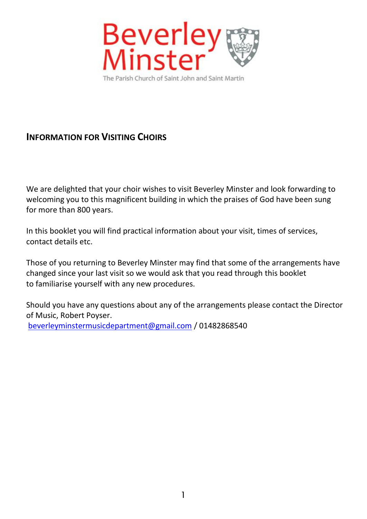

# **INFORMATION FOR VISITING CHOIRS**

We are delighted that your choir wishes to visit Beverley Minster and look forwarding to welcoming you to this magnificent building in which the praises of God have been sung for more than 800 years.

In this booklet you will find practical information about your visit, times of services, contact details etc.

Those of you returning to Beverley Minster may find that some of the arrangements have changed since your last visit so we would ask that you read through this booklet to familiarise yourself with any new procedures.

Should you have any questions about any of the arrangements please contact the Director of Music, Robert Poyser. [beverleyminstermusicdepartment@gmail.com](mailto:beverleyminstermusicdepartment@gmail.com) / 01482868540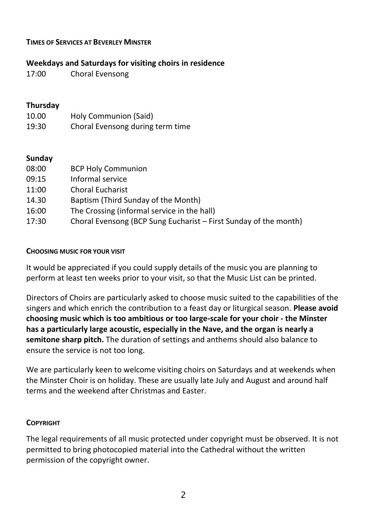### **TIMES OF SERVICES AT BEVERLEY MINSTER**

# **Weekdays and Saturdays for visiting choirs in residence**

17:00 Choral Evensong

# **Thursday**

| 10.00 | Holy Communion (Said)            |
|-------|----------------------------------|
| 19:30 | Choral Evensong during term time |

# **Sunday**

| 08:00 | <b>BCP Holy Communion</b>                                        |
|-------|------------------------------------------------------------------|
| 09:15 | Informal service                                                 |
| 11:00 | <b>Choral Eucharist</b>                                          |
| 14.30 | Baptism (Third Sunday of the Month)                              |
| 16:00 | The Crossing (informal service in the hall)                      |
| 17:30 | Choral Evensong (BCP Sung Eucharist – First Sunday of the month) |

#### **CHOOSING MUSIC FOR YOUR VISIT**

It would be appreciated if you could supply details of the music you are planning to perform at least ten weeks prior to your visit, so that the Music List can be printed.

Directors of Choirs are particularly asked to choose music suited to the capabilities of the singers and which enrich the contribution to a feast day or liturgical season. **Please avoid choosing music which is too ambitious or too large-scale for your choir - the Minster has a particularly large acoustic, especially in the Nave, and the organ is nearly a semitone sharp pitch.** The duration of settings and anthems should also balance to ensure the service is not too long.

We are particularly keen to welcome visiting choirs on Saturdays and at weekends when the Minster Choir is on holiday. These are usually late July and August and around half terms and the weekend after Christmas and Easter.

#### **COPYRIGHT**

The legal requirements of all music protected under copyright must be observed. It is not permitted to bring photocopied material into the Cathedral without the written permission of the copyright owner.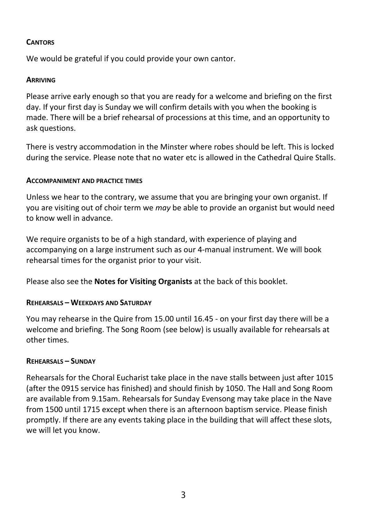### **CANTORS**

We would be grateful if you could provide your own cantor.

### **ARRIVING**

Please arrive early enough so that you are ready for a welcome and briefing on the first day. If your first day is Sunday we will confirm details with you when the booking is made. There will be a brief rehearsal of processions at this time, and an opportunity to ask questions.

There is vestry accommodation in the Minster where robes should be left. This is locked during the service. Please note that no water etc is allowed in the Cathedral Quire Stalls.

#### **ACCOMPANIMENT AND PRACTICE TIMES**

Unless we hear to the contrary, we assume that you are bringing your own organist. If you are visiting out of choir term we *may* be able to provide an organist but would need to know well in advance.

We require organists to be of a high standard, with experience of playing and accompanying on a large instrument such as our 4-manual instrument. We will book rehearsal times for the organist prior to your visit.

Please also see the **Notes for Visiting Organists** at the back of this booklet.

# **REHEARSALS – WEEKDAYS AND SATURDAY**

You may rehearse in the Quire from 15.00 until 16.45 - on your first day there will be a welcome and briefing. The Song Room (see below) is usually available for rehearsals at other times.

# **REHEARSALS – SUNDAY**

Rehearsals for the Choral Eucharist take place in the nave stalls between just after 1015 (after the 0915 service has finished) and should finish by 1050. The Hall and Song Room are available from 9.15am. Rehearsals for Sunday Evensong may take place in the Nave from 1500 until 1715 except when there is an afternoon baptism service. Please finish promptly. If there are any events taking place in the building that will affect these slots, we will let you know.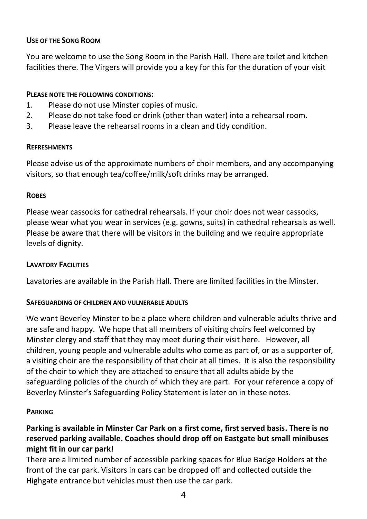# **USE OF THE SONG ROOM**

You are welcome to use the Song Room in the Parish Hall. There are toilet and kitchen facilities there. The Virgers will provide you a key for this for the duration of your visit

# **PLEASE NOTE THE FOLLOWING CONDITIONS:**

- 1. Please do not use Minster copies of music.
- 2. Please do not take food or drink (other than water) into a rehearsal room.
- 3. Please leave the rehearsal rooms in a clean and tidy condition.

#### **REFRESHMENTS**

Please advise us of the approximate numbers of choir members, and any accompanying visitors, so that enough tea/coffee/milk/soft drinks may be arranged.

#### **ROBES**

Please wear cassocks for cathedral rehearsals. If your choir does not wear cassocks, please wear what you wear in services (e.g. gowns, suits) in cathedral rehearsals as well. Please be aware that there will be visitors in the building and we require appropriate levels of dignity.

### **LAVATORY FACILITIES**

Lavatories are available in the Parish Hall. There are limited facilities in the Minster.

#### **SAFEGUARDING OF CHILDREN AND VULNERABLE ADULTS**

We want Beverley Minster to be a place where children and vulnerable adults thrive and are safe and happy. We hope that all members of visiting choirs feel welcomed by Minster clergy and staff that they may meet during their visit here. However, all children, young people and vulnerable adults who come as part of, or as a supporter of, a visiting choir are the responsibility of that choir at all times. It is also the responsibility of the choir to which they are attached to ensure that all adults abide by the safeguarding policies of the church of which they are part. For your reference a copy of Beverley Minster's Safeguarding Policy Statement is later on in these notes.

#### **PARKING**

# **Parking is available in Minster Car Park on a first come, first served basis. There is no reserved parking available. Coaches should drop off on Eastgate but small minibuses might fit in our car park!**

There are a limited number of accessible parking spaces for Blue Badge Holders at the front of the car park. Visitors in cars can be dropped off and collected outside the Highgate entrance but vehicles must then use the car park.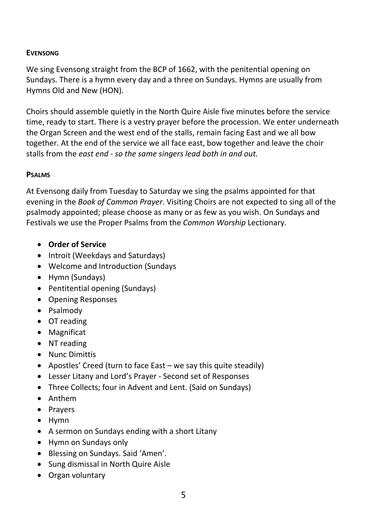#### **EVENSONG**

We sing Evensong straight from the BCP of 1662, with the penitential opening on Sundays. There is a hymn every day and a three on Sundays. Hymns are usually from Hymns Old and New (HON).

Choirs should assemble quietly in the North Quire Aisle five minutes before the service time, ready to start. There is a vestry prayer before the procession. We enter underneath the Organ Screen and the west end of the stalls, remain facing East and we all bow together. At the end of the service we all face east, bow together and leave the choir stalls from the *east end - so the same singers lead both in and out.*

#### **PSALMS**

At Evensong daily from Tuesday to Saturday we sing the psalms appointed for that evening in the *Book of Common Prayer*. Visiting Choirs are not expected to sing all of the psalmody appointed; please choose as many or as few as you wish. On Sundays and Festivals we use the Proper Psalms from the *Common Worship* Lectionary.

- **Order of Service**
- Introit (Weekdays and Saturdays)
- Welcome and Introduction (Sundays
- Hymn (Sundays)
- Pentitential opening (Sundays)
- Opening Responses
- Psalmody
- OT reading
- Magnificat
- NT reading
- Nunc Dimittis
- Apostles' Creed (turn to face East we say this quite steadily)
- Lesser Litany and Lord's Prayer Second set of Responses
- Three Collects; four in Advent and Lent. (Said on Sundays)
- Anthem
- Prayers
- Hymn
- A sermon on Sundays ending with a short Litany
- Hymn on Sundays only
- Blessing on Sundays. Said 'Amen'.
- Sung dismissal in North Quire Aisle
- Organ voluntary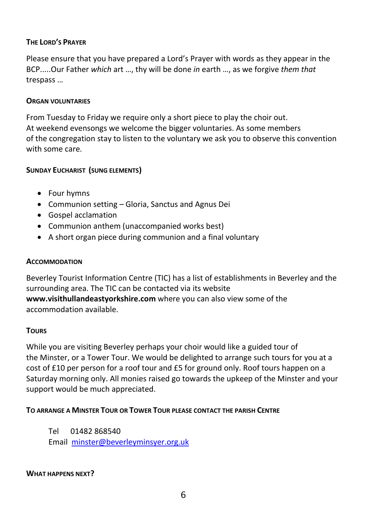# **THE LORD'S PRAYER**

Please ensure that you have prepared a Lord's Prayer with words as they appear in the BCP.....Our Father *which* art …, thy will be done *in* earth …, as we forgive *them that* trespass …

#### **ORGAN VOLUNTARIES**

From Tuesday to Friday we require only a short piece to play the choir out. At weekend evensongs we welcome the bigger voluntaries. As some members of the congregation stay to listen to the voluntary we ask you to observe this convention with some care.

#### **SUNDAY EUCHARIST (SUNG ELEMENTS)**

- Four hymns
- Communion setting Gloria, Sanctus and Agnus Dei
- Gospel acclamation
- Communion anthem (unaccompanied works best)
- A short organ piece during communion and a final voluntary

#### **ACCOMMODATION**

Beverley Tourist Information Centre (TIC) has a list of establishments in Beverley and the surrounding area. The TIC can be contacted via its website **www.visithullandeastyorkshire.com** where you can also view some of the accommodation available.

#### **TOURS**

While you are visiting Beverley perhaps your choir would like a guided tour of the Minster, or a Tower Tour. We would be delighted to arrange such tours for you at a cost of £10 per person for a roof tour and £5 for ground only. Roof tours happen on a Saturday morning only. All monies raised go towards the upkeep of the Minster and your support would be much appreciated.

#### **TO ARRANGE A MINSTER TOUR OR TOWER TOUR PLEASE CONTACT THE PARISH CENTRE**

Tel 01482 868540 Email [minster@beverleyminsyer.org.uk](mailto:minster@beverleyminsyer.org.uk)

#### **WHAT HAPPENS NEXT?**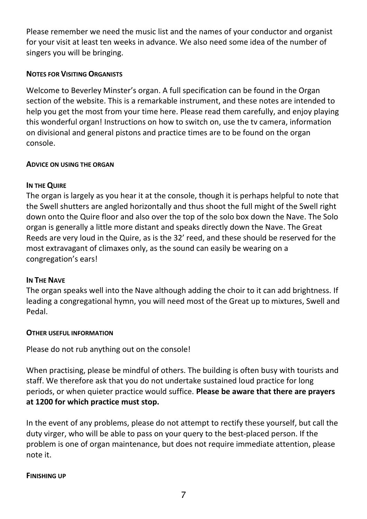Please remember we need the music list and the names of your conductor and organist for your visit at least ten weeks in advance. We also need some idea of the number of singers you will be bringing.

# **NOTES FOR VISITING ORGANISTS**

Welcome to Beverley Minster's organ. A full specification can be found in the Organ section of the website. This is a remarkable instrument, and these notes are intended to help you get the most from your time here. Please read them carefully, and enjoy playing this wonderful organ! Instructions on how to switch on, use the tv camera, information on divisional and general pistons and practice times are to be found on the organ console.

# **ADVICE ON USING THE ORGAN**

# **IN THE QUIRE**

The organ is largely as you hear it at the console, though it is perhaps helpful to note that the Swell shutters are angled horizontally and thus shoot the full might of the Swell right down onto the Quire floor and also over the top of the solo box down the Nave. The Solo organ is generally a little more distant and speaks directly down the Nave. The Great Reeds are very loud in the Quire, as is the 32' reed, and these should be reserved for the most extravagant of climaxes only, as the sound can easily be wearing on a congregation's ears!

# **IN THE NAVE**

The organ speaks well into the Nave although adding the choir to it can add brightness. If leading a congregational hymn, you will need most of the Great up to mixtures, Swell and Pedal.

#### **OTHER USEFUL INFORMATION**

Please do not rub anything out on the console!

When practising, please be mindful of others. The building is often busy with tourists and staff. We therefore ask that you do not undertake sustained loud practice for long periods, or when quieter practice would suffice. **Please be aware that there are prayers at 1200 for which practice must stop.**

In the event of any problems, please do not attempt to rectify these yourself, but call the duty virger, who will be able to pass on your query to the best-placed person. If the problem is one of organ maintenance, but does not require immediate attention, please note it.

#### **FINISHING UP**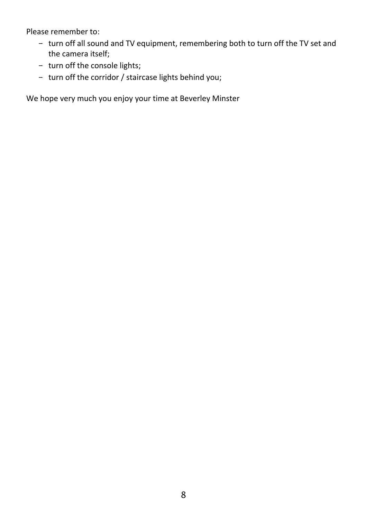Please remember to:

- turn off all sound and TV equipment, remembering both to turn off the TV set and the camera itself;
- turn off the console lights;
- turn off the corridor / staircase lights behind you;

We hope very much you enjoy your time at Beverley Minster